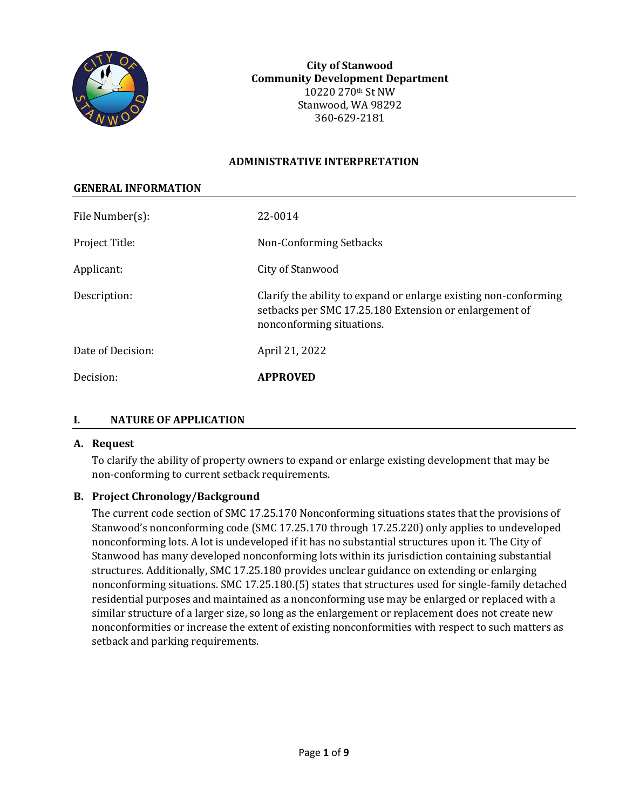

**City of Stanwood Community Development Department** 10220 270th St NW Stanwood, WA 98292 360-629-2181

#### **ADMINISTRATIVE INTERPRETATION**

| <b>GENERAL INFORMATION</b> |                                                                                                                                                         |
|----------------------------|---------------------------------------------------------------------------------------------------------------------------------------------------------|
| File Number(s):            | 22-0014                                                                                                                                                 |
| Project Title:             | Non-Conforming Setbacks                                                                                                                                 |
| Applicant:                 | City of Stanwood                                                                                                                                        |
| Description:               | Clarify the ability to expand or enlarge existing non-conforming<br>setbacks per SMC 17.25.180 Extension or enlargement of<br>nonconforming situations. |
| Date of Decision:          | April 21, 2022                                                                                                                                          |
| Decision:                  | <b>APPROVED</b>                                                                                                                                         |

### **I. NATURE OF APPLICATION**

#### **A. Request**

To clarify the ability of property owners to expand or enlarge existing development that may be non-conforming to current setback requirements.

### **B. Project Chronology/Background**

The current code section of SMC 17.25.170 Nonconforming situations states that the provisions of Stanwood's nonconforming code (SMC 17.25.170 through 17.25.220) only applies to undeveloped nonconforming lots. A lot is undeveloped if it has no substantial structures upon it. The City of Stanwood has many developed nonconforming lots within its jurisdiction containing substantial structures. Additionally, SMC 17.25.180 provides unclear guidance on extending or enlarging nonconforming situations. SMC 17.25.180.(5) states that structures used for single-family detached residential purposes and maintained as a nonconforming use may be enlarged or replaced with a similar structure of a larger size, so long as the enlargement or replacement does not create new nonconformities or increase the extent of existing nonconformities with respect to such matters as setback and parking requirements.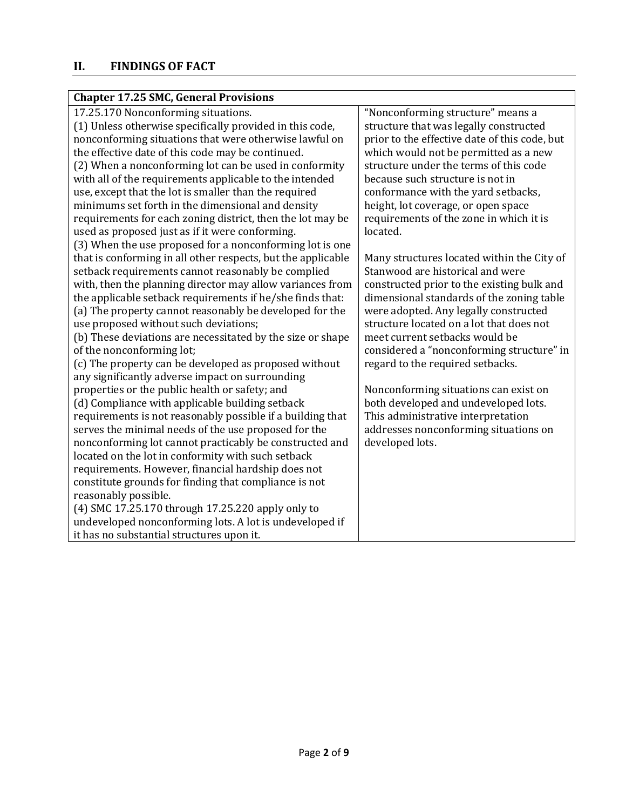| <b>Chapter 17.25 SMC, General Provisions</b> |  |
|----------------------------------------------|--|
|----------------------------------------------|--|

| 17.25.170 Nonconforming situations.                          | "Nonconforming structure" means a             |
|--------------------------------------------------------------|-----------------------------------------------|
| (1) Unless otherwise specifically provided in this code,     | structure that was legally constructed        |
| nonconforming situations that were otherwise lawful on       | prior to the effective date of this code, but |
| the effective date of this code may be continued.            | which would not be permitted as a new         |
| (2) When a nonconforming lot can be used in conformity       | structure under the terms of this code        |
| with all of the requirements applicable to the intended      | because such structure is not in              |
| use, except that the lot is smaller than the required        | conformance with the yard setbacks,           |
| minimums set forth in the dimensional and density            | height, lot coverage, or open space           |
| requirements for each zoning district, then the lot may be   | requirements of the zone in which it is       |
| used as proposed just as if it were conforming.              | located.                                      |
| (3) When the use proposed for a nonconforming lot is one     |                                               |
| that is conforming in all other respects, but the applicable | Many structures located within the City of    |
| setback requirements cannot reasonably be complied           | Stanwood are historical and were              |
| with, then the planning director may allow variances from    | constructed prior to the existing bulk and    |
| the applicable setback requirements if he/she finds that:    | dimensional standards of the zoning table     |
| (a) The property cannot reasonably be developed for the      | were adopted. Any legally constructed         |
| use proposed without such deviations;                        | structure located on a lot that does not      |
| (b) These deviations are necessitated by the size or shape   | meet current setbacks would be                |
| of the nonconforming lot;                                    | considered a "nonconforming structure" in     |
| (c) The property can be developed as proposed without        | regard to the required setbacks.              |
| any significantly adverse impact on surrounding              |                                               |
| properties or the public health or safety; and               | Nonconforming situations can exist on         |
| (d) Compliance with applicable building setback              | both developed and undeveloped lots.          |
| requirements is not reasonably possible if a building that   | This administrative interpretation            |
| serves the minimal needs of the use proposed for the         | addresses nonconforming situations on         |
| nonconforming lot cannot practicably be constructed and      | developed lots.                               |
| located on the lot in conformity with such setback           |                                               |
| requirements. However, financial hardship does not           |                                               |
| constitute grounds for finding that compliance is not        |                                               |
| reasonably possible.                                         |                                               |
| (4) SMC 17.25.170 through 17.25.220 apply only to            |                                               |
| undeveloped nonconforming lots. A lot is undeveloped if      |                                               |
| it has no substantial structures upon it.                    |                                               |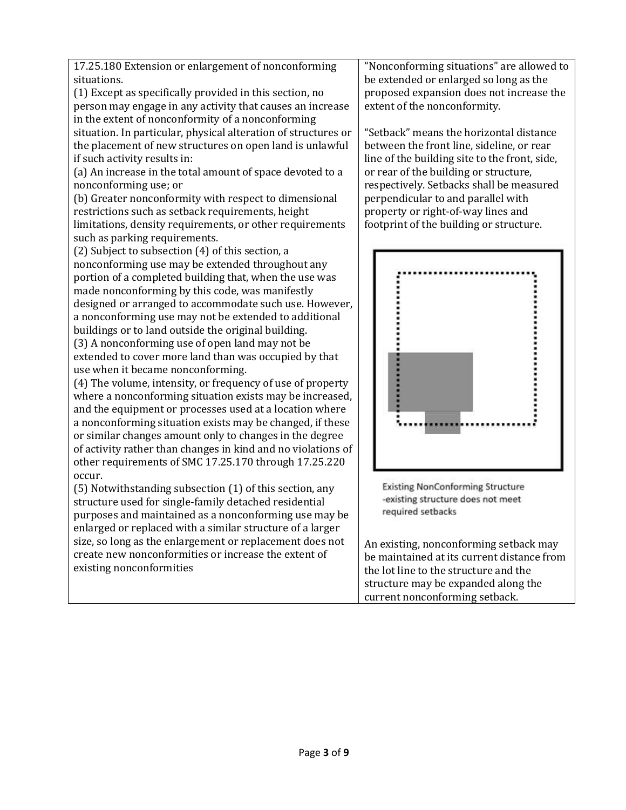17.25.180 Extension or enlargement of nonconforming situations.

(1) Except as specifically provided in this section, no person may engage in any activity that causes an increase in the extent of nonconformity of a nonconforming situation. In particular, physical alteration of structures or the placement of new structures on open land is unlawful if such activity results in:

(a) An increase in the total amount of space devoted to a nonconforming use; or

(b) Greater nonconformity with respect to dimensional restrictions such as setback requirements, height limitations, density requirements, or other requirements such as parking requirements.

(2) Subject to subsection (4) of this section, a nonconforming use may be extended throughout any portion of a completed building that, when the use was made nonconforming by this code, was manifestly designed or arranged to accommodate such use. However, a nonconforming use may not be extended to additional buildings or to land outside the original building.

(3) A nonconforming use of open land may not be extended to cover more land than was occupied by that use when it became nonconforming.

(4) The volume, intensity, or frequency of use of property where a nonconforming situation exists may be increased, and the equipment or processes used at a location where a nonconforming situation exists may be changed, if these or similar changes amount only to changes in the degree of activity rather than changes in kind and no violations of other requirements of SMC 17.25.170 through 17.25.220 occur.

(5) Notwithstanding subsection (1) of this section, any structure used for single-family detached residential purposes and maintained as a nonconforming use may be enlarged or replaced with a similar structure of a larger size, so long as the enlargement or replacement does not create new nonconformities or increase the extent of existing nonconformities

"Nonconforming situations" are allowed to be extended or enlarged so long as the proposed expansion does not increase the extent of the nonconformity.

"Setback" means the horizontal distance between the front line, sideline, or rear line of the building site to the front, side, or rear of the building or structure, respectively. Setbacks shall be measured perpendicular to and parallel with property or right-of-way lines and footprint of the building or structure.



**Existing NonConforming Structure** -existing structure does not meet required setbacks

An existing, nonconforming setback may be maintained at its current distance from the lot line to the structure and the structure may be expanded along the current nonconforming setback.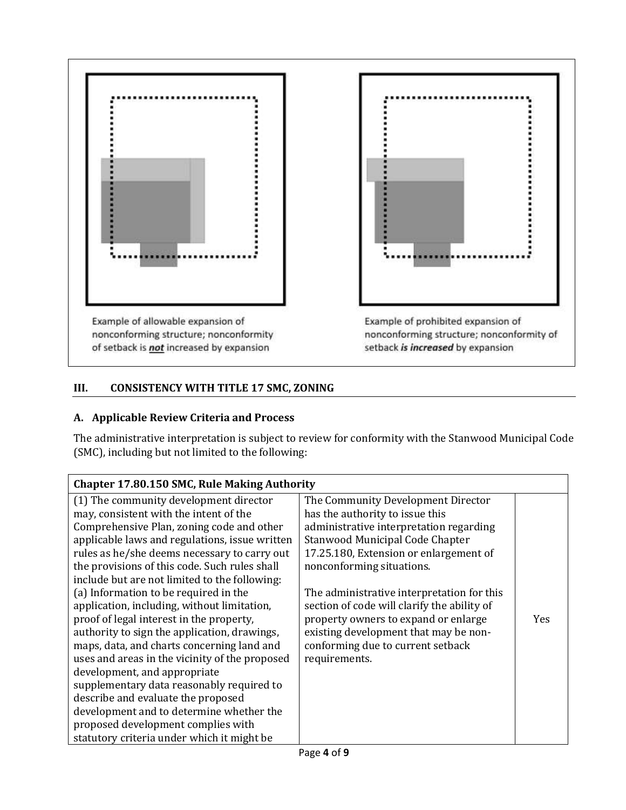



## **III. CONSISTENCY WITH TITLE 17 SMC, ZONING**

### **A. Applicable Review Criteria and Process**

The administrative interpretation is subject to review for conformity with the Stanwood Municipal Code (SMC), including but not limited to the following:

| <b>Chapter 17.80.150 SMC, Rule Making Authority</b> |                                             |            |  |
|-----------------------------------------------------|---------------------------------------------|------------|--|
| (1) The community development director              | The Community Development Director          |            |  |
| may, consistent with the intent of the              | has the authority to issue this             |            |  |
| Comprehensive Plan, zoning code and other           | administrative interpretation regarding     |            |  |
| applicable laws and regulations, issue written      | Stanwood Municipal Code Chapter             |            |  |
| rules as he/she deems necessary to carry out        | 17.25.180, Extension or enlargement of      |            |  |
| the provisions of this code. Such rules shall       | nonconforming situations.                   |            |  |
| include but are not limited to the following:       |                                             |            |  |
| (a) Information to be required in the               | The administrative interpretation for this  |            |  |
| application, including, without limitation,         | section of code will clarify the ability of |            |  |
| proof of legal interest in the property,            | property owners to expand or enlarge        | <b>Yes</b> |  |
| authority to sign the application, drawings,        | existing development that may be non-       |            |  |
| maps, data, and charts concerning land and          | conforming due to current setback           |            |  |
| uses and areas in the vicinity of the proposed      | requirements.                               |            |  |
| development, and appropriate                        |                                             |            |  |
| supplementary data reasonably required to           |                                             |            |  |
| describe and evaluate the proposed                  |                                             |            |  |
| development and to determine whether the            |                                             |            |  |
| proposed development complies with                  |                                             |            |  |
| statutory criteria under which it might be          |                                             |            |  |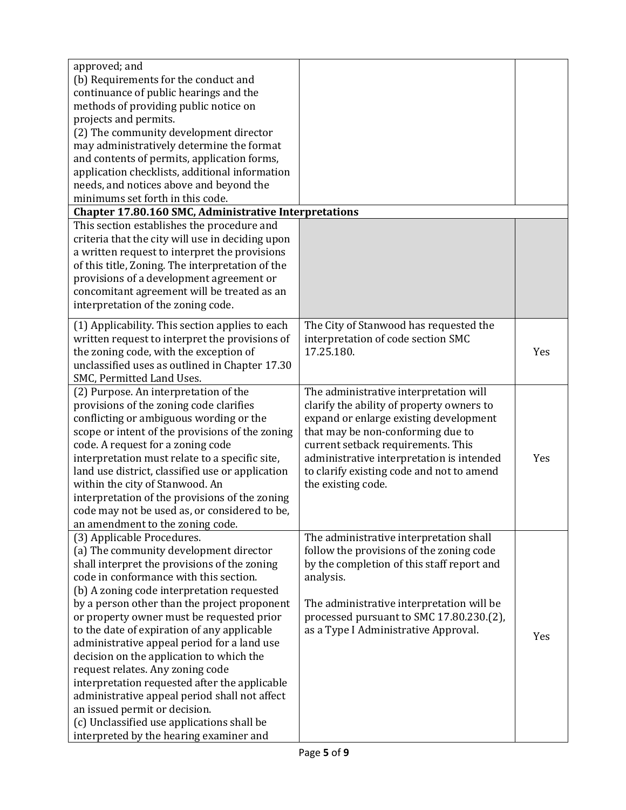| approved; and<br>(b) Requirements for the conduct and<br>continuance of public hearings and the<br>methods of providing public notice on<br>projects and permits.<br>(2) The community development director<br>may administratively determine the format<br>and contents of permits, application forms,<br>application checklists, additional information<br>needs, and notices above and beyond the<br>minimums set forth in this code.                                                                                                                                                                                                                                                                            |                                                                                                                                                                                                                                                                                                                          |     |
|---------------------------------------------------------------------------------------------------------------------------------------------------------------------------------------------------------------------------------------------------------------------------------------------------------------------------------------------------------------------------------------------------------------------------------------------------------------------------------------------------------------------------------------------------------------------------------------------------------------------------------------------------------------------------------------------------------------------|--------------------------------------------------------------------------------------------------------------------------------------------------------------------------------------------------------------------------------------------------------------------------------------------------------------------------|-----|
| <b>Chapter 17.80.160 SMC, Administrative Interpretations</b><br>This section establishes the procedure and                                                                                                                                                                                                                                                                                                                                                                                                                                                                                                                                                                                                          |                                                                                                                                                                                                                                                                                                                          |     |
| criteria that the city will use in deciding upon<br>a written request to interpret the provisions<br>of this title, Zoning. The interpretation of the<br>provisions of a development agreement or<br>concomitant agreement will be treated as an<br>interpretation of the zoning code.                                                                                                                                                                                                                                                                                                                                                                                                                              |                                                                                                                                                                                                                                                                                                                          |     |
| (1) Applicability. This section applies to each<br>written request to interpret the provisions of<br>the zoning code, with the exception of<br>unclassified uses as outlined in Chapter 17.30<br>SMC, Permitted Land Uses.                                                                                                                                                                                                                                                                                                                                                                                                                                                                                          | The City of Stanwood has requested the<br>interpretation of code section SMC<br>17.25.180.                                                                                                                                                                                                                               | Yes |
| (2) Purpose. An interpretation of the<br>provisions of the zoning code clarifies<br>conflicting or ambiguous wording or the<br>scope or intent of the provisions of the zoning<br>code. A request for a zoning code<br>interpretation must relate to a specific site,<br>land use district, classified use or application<br>within the city of Stanwood. An<br>interpretation of the provisions of the zoning<br>code may not be used as, or considered to be,<br>an amendment to the zoning code.                                                                                                                                                                                                                 | The administrative interpretation will<br>clarify the ability of property owners to<br>expand or enlarge existing development<br>that may be non-conforming due to<br>current setback requirements. This<br>administrative interpretation is intended<br>to clarify existing code and not to amend<br>the existing code. | Yes |
| (3) Applicable Procedures.<br>(a) The community development director<br>shall interpret the provisions of the zoning<br>code in conformance with this section.<br>(b) A zoning code interpretation requested<br>by a person other than the project proponent<br>or property owner must be requested prior<br>to the date of expiration of any applicable<br>administrative appeal period for a land use<br>decision on the application to which the<br>request relates. Any zoning code<br>interpretation requested after the applicable<br>administrative appeal period shall not affect<br>an issued permit or decision.<br>(c) Unclassified use applications shall be<br>interpreted by the hearing examiner and | The administrative interpretation shall<br>follow the provisions of the zoning code<br>by the completion of this staff report and<br>analysis.<br>The administrative interpretation will be<br>processed pursuant to SMC 17.80.230.(2),<br>as a Type I Administrative Approval.                                          | Yes |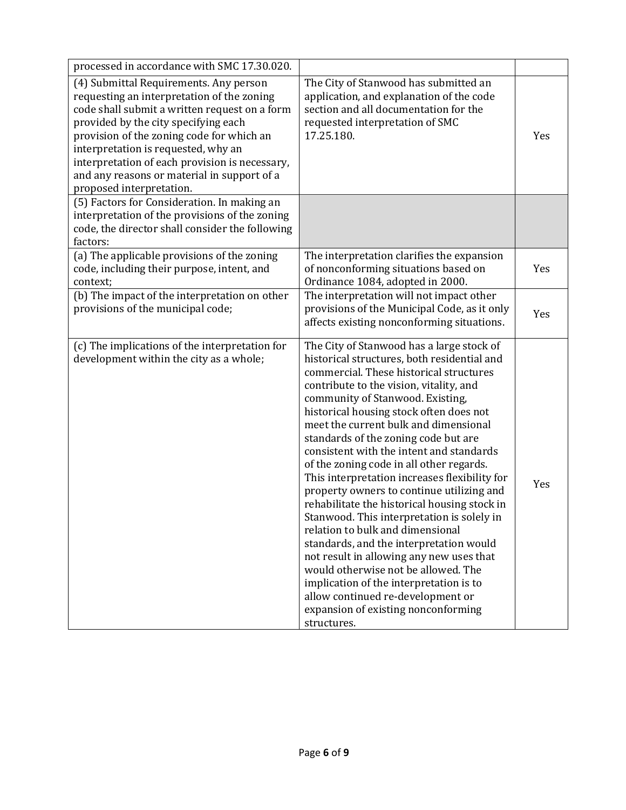| processed in accordance with SMC 17.30.020.                                                                                                                                                                                                                                                                                                                                                    |                                                                                                                                                                                                                                                                                                                                                                                                                                                                                                                                                                                                                                                                                                                                                                                                                                                                                                                                            |     |
|------------------------------------------------------------------------------------------------------------------------------------------------------------------------------------------------------------------------------------------------------------------------------------------------------------------------------------------------------------------------------------------------|--------------------------------------------------------------------------------------------------------------------------------------------------------------------------------------------------------------------------------------------------------------------------------------------------------------------------------------------------------------------------------------------------------------------------------------------------------------------------------------------------------------------------------------------------------------------------------------------------------------------------------------------------------------------------------------------------------------------------------------------------------------------------------------------------------------------------------------------------------------------------------------------------------------------------------------------|-----|
| (4) Submittal Requirements. Any person<br>requesting an interpretation of the zoning<br>code shall submit a written request on a form<br>provided by the city specifying each<br>provision of the zoning code for which an<br>interpretation is requested, why an<br>interpretation of each provision is necessary,<br>and any reasons or material in support of a<br>proposed interpretation. | The City of Stanwood has submitted an<br>application, and explanation of the code<br>section and all documentation for the<br>requested interpretation of SMC<br>17.25.180.                                                                                                                                                                                                                                                                                                                                                                                                                                                                                                                                                                                                                                                                                                                                                                | Yes |
| (5) Factors for Consideration. In making an<br>interpretation of the provisions of the zoning<br>code, the director shall consider the following<br>factors:                                                                                                                                                                                                                                   |                                                                                                                                                                                                                                                                                                                                                                                                                                                                                                                                                                                                                                                                                                                                                                                                                                                                                                                                            |     |
| (a) The applicable provisions of the zoning<br>code, including their purpose, intent, and<br>context;                                                                                                                                                                                                                                                                                          | The interpretation clarifies the expansion<br>of nonconforming situations based on<br>Ordinance 1084, adopted in 2000.                                                                                                                                                                                                                                                                                                                                                                                                                                                                                                                                                                                                                                                                                                                                                                                                                     | Yes |
| (b) The impact of the interpretation on other<br>provisions of the municipal code;                                                                                                                                                                                                                                                                                                             | The interpretation will not impact other<br>provisions of the Municipal Code, as it only<br>affects existing nonconforming situations.                                                                                                                                                                                                                                                                                                                                                                                                                                                                                                                                                                                                                                                                                                                                                                                                     | Yes |
| (c) The implications of the interpretation for<br>development within the city as a whole;                                                                                                                                                                                                                                                                                                      | The City of Stanwood has a large stock of<br>historical structures, both residential and<br>commercial. These historical structures<br>contribute to the vision, vitality, and<br>community of Stanwood. Existing,<br>historical housing stock often does not<br>meet the current bulk and dimensional<br>standards of the zoning code but are<br>consistent with the intent and standards<br>of the zoning code in all other regards.<br>This interpretation increases flexibility for<br>property owners to continue utilizing and<br>rehabilitate the historical housing stock in<br>Stanwood. This interpretation is solely in<br>relation to bulk and dimensional<br>standards, and the interpretation would<br>not result in allowing any new uses that<br>would otherwise not be allowed. The<br>implication of the interpretation is to<br>allow continued re-development or<br>expansion of existing nonconforming<br>structures. | Yes |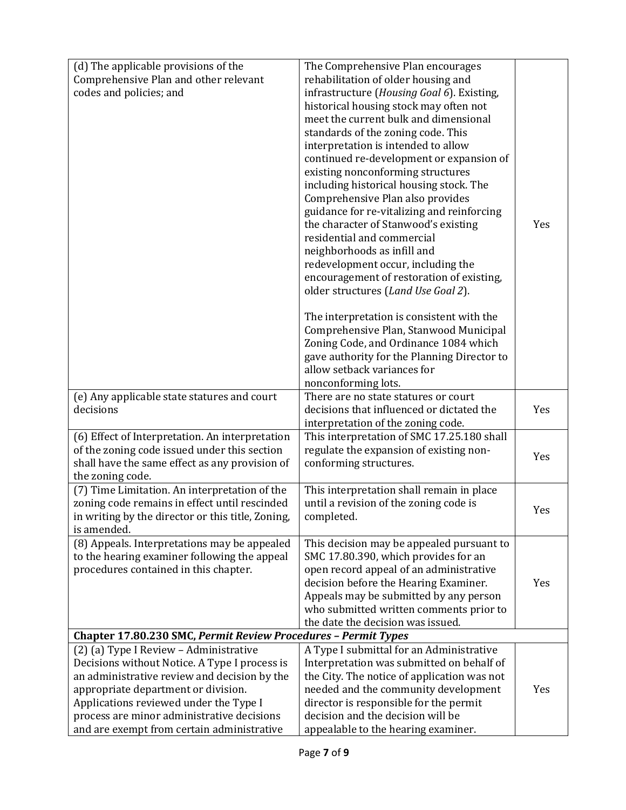| (d) The applicable provisions of the                             | The Comprehensive Plan encourages           |     |
|------------------------------------------------------------------|---------------------------------------------|-----|
| Comprehensive Plan and other relevant                            | rehabilitation of older housing and         |     |
| codes and policies; and                                          | infrastructure (Housing Goal 6). Existing,  |     |
|                                                                  | historical housing stock may often not      |     |
|                                                                  | meet the current bulk and dimensional       |     |
|                                                                  | standards of the zoning code. This          |     |
|                                                                  | interpretation is intended to allow         |     |
|                                                                  | continued re-development or expansion of    |     |
|                                                                  | existing nonconforming structures           |     |
|                                                                  | including historical housing stock. The     |     |
|                                                                  | Comprehensive Plan also provides            |     |
|                                                                  | guidance for re-vitalizing and reinforcing  |     |
|                                                                  | the character of Stanwood's existing        | Yes |
|                                                                  | residential and commercial                  |     |
|                                                                  | neighborhoods as infill and                 |     |
|                                                                  | redevelopment occur, including the          |     |
|                                                                  | encouragement of restoration of existing,   |     |
|                                                                  | older structures (Land Use Goal 2).         |     |
|                                                                  | The interpretation is consistent with the   |     |
|                                                                  | Comprehensive Plan, Stanwood Municipal      |     |
|                                                                  | Zoning Code, and Ordinance 1084 which       |     |
|                                                                  | gave authority for the Planning Director to |     |
|                                                                  | allow setback variances for                 |     |
|                                                                  | nonconforming lots.                         |     |
| (e) Any applicable state statures and court                      | There are no state statures or court        |     |
| decisions                                                        | decisions that influenced or dictated the   | Yes |
|                                                                  | interpretation of the zoning code.          |     |
| (6) Effect of Interpretation. An interpretation                  | This interpretation of SMC 17.25.180 shall  |     |
| of the zoning code issued under this section                     | regulate the expansion of existing non-     | Yes |
| shall have the same effect as any provision of                   | conforming structures.                      |     |
| the zoning code.                                                 |                                             |     |
| (7) Time Limitation. An interpretation of the                    | This interpretation shall remain in place   |     |
| zoning code remains in effect until rescinded                    | until a revision of the zoning code is      | Yes |
| in writing by the director or this title, Zoning,<br>is amended. | completed.                                  |     |
| (8) Appeals. Interpretations may be appealed                     | This decision may be appealed pursuant to   |     |
| to the hearing examiner following the appeal                     | SMC 17.80.390, which provides for an        |     |
| procedures contained in this chapter.                            | open record appeal of an administrative     |     |
|                                                                  | decision before the Hearing Examiner.       | Yes |
|                                                                  | Appeals may be submitted by any person      |     |
|                                                                  | who submitted written comments prior to     |     |
|                                                                  | the date the decision was issued.           |     |
| Chapter 17.80.230 SMC, Permit Review Procedures - Permit Types   |                                             |     |
| (2) (a) Type I Review - Administrative                           | A Type I submittal for an Administrative    |     |
| Decisions without Notice. A Type I process is                    | Interpretation was submitted on behalf of   |     |
| an administrative review and decision by the                     | the City. The notice of application was not |     |
| appropriate department or division.                              | needed and the community development        | Yes |
| Applications reviewed under the Type I                           | director is responsible for the permit      |     |
| process are minor administrative decisions                       | decision and the decision will be           |     |
| and are exempt from certain administrative                       | appealable to the hearing examiner.         |     |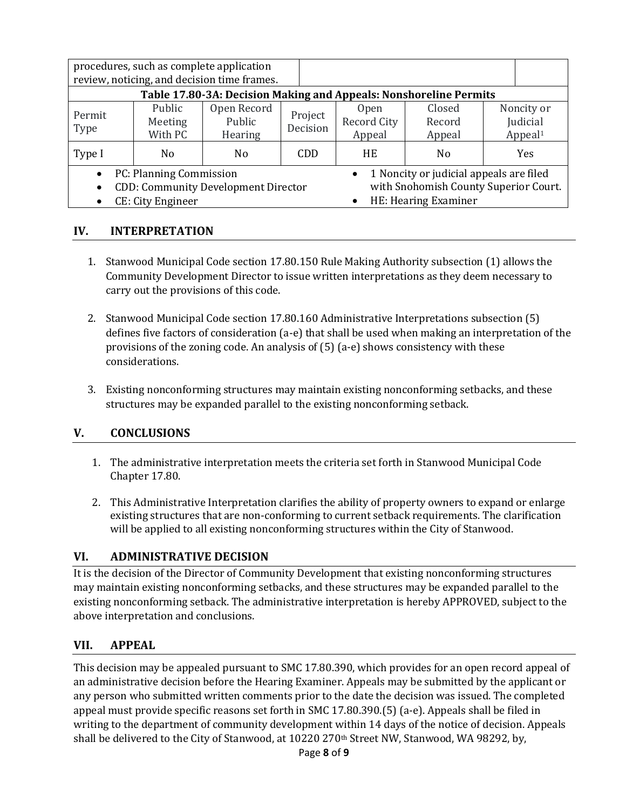|                                                                                                                                                                                                                                               |                              | procedures, such as complete application<br>review, noticing, and decision time frames.<br>Table 17.80-3A: Decision Making and Appeals: Nonshoreline Permits |                     |                                      |                            |                                               |
|-----------------------------------------------------------------------------------------------------------------------------------------------------------------------------------------------------------------------------------------------|------------------------------|--------------------------------------------------------------------------------------------------------------------------------------------------------------|---------------------|--------------------------------------|----------------------------|-----------------------------------------------|
| Permit<br>Type                                                                                                                                                                                                                                | Public<br>Meeting<br>With PC | Open Record<br>Public<br><b>Hearing</b>                                                                                                                      | Project<br>Decision | <b>Open</b><br>Record City<br>Appeal | Closed<br>Record<br>Appeal | Noncity or<br>Judicial<br>Appeal <sup>1</sup> |
| Type I                                                                                                                                                                                                                                        | N <sub>0</sub>               | No.                                                                                                                                                          | <b>CDD</b>          | HE                                   | N <sub>0</sub>             | <b>Yes</b>                                    |
| 1 Noncity or judicial appeals are filed<br>PC: Planning Commission<br>$\bullet$<br>with Snohomish County Superior Court.<br><b>CDD: Community Development Director</b><br>$\bullet$<br>HE: Hearing Examiner<br>CE: City Engineer<br>$\bullet$ |                              |                                                                                                                                                              |                     |                                      |                            |                                               |

## **IV. INTERPRETATION**

- 1. Stanwood Municipal Code section 17.80.150 Rule Making Authority subsection (1) allows the Community Development Director to issue written interpretations as they deem necessary to carry out the provisions of this code.
- 2. Stanwood Municipal Code section 17.80.160 Administrative Interpretations subsection (5) defines five factors of consideration (a-e) that shall be used when making an interpretation of the provisions of the zoning code. An analysis of (5) (a-e) shows consistency with these considerations.
- 3. Existing nonconforming structures may maintain existing nonconforming setbacks, and these structures may be expanded parallel to the existing nonconforming setback.

# **V. CONCLUSIONS**

- 1. The administrative interpretation meets the criteria set forth in Stanwood Municipal Code Chapter 17.80.
- 2. This Administrative Interpretation clarifies the ability of property owners to expand or enlarge existing structures that are non-conforming to current setback requirements. The clarification will be applied to all existing nonconforming structures within the City of Stanwood.

# **VI. ADMINISTRATIVE DECISION**

It is the decision of the Director of Community Development that existing nonconforming structures may maintain existing nonconforming setbacks, and these structures may be expanded parallel to the existing nonconforming setback. The administrative interpretation is hereby APPROVED, subject to the above interpretation and conclusions.

# **VII. APPEAL**

This decision may be appealed pursuant to SMC 17.80.390, which provides for an open record appeal of an administrative decision before the Hearing Examiner. Appeals may be submitted by the applicant or any person who submitted written comments prior to the date the decision was issued. The completed appeal must provide specific reasons set forth in SMC 17.80.390.(5) (a-e). Appeals shall be filed in writing to the department of community development within 14 days of the notice of decision. Appeals shall be delivered to the City of Stanwood, at 10220 270<sup>th</sup> Street NW, Stanwood, WA 98292, by,